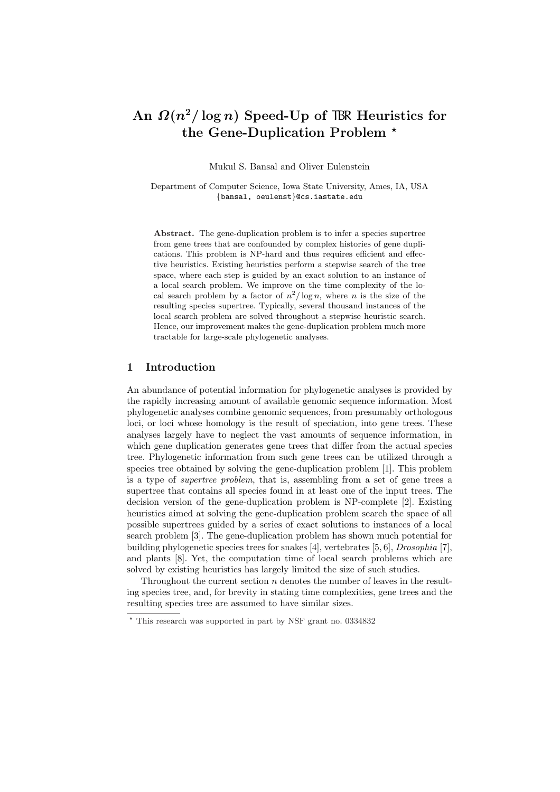# An  $\Omega(n^2/\log n)$  Speed-Up of TBR Heuristics for the Gene-Duplication Problem<sup>\*</sup>

Mukul S. Bansal and Oliver Eulenstein

Department of Computer Science, Iowa State University, Ames, IA, USA {bansal, oeulenst}@cs.iastate.edu

Abstract. The gene-duplication problem is to infer a species supertree from gene trees that are confounded by complex histories of gene duplications. This problem is NP-hard and thus requires efficient and effective heuristics. Existing heuristics perform a stepwise search of the tree space, where each step is guided by an exact solution to an instance of a local search problem. We improve on the time complexity of the local search problem by a factor of  $n^2/\log n$ , where n is the size of the resulting species supertree. Typically, several thousand instances of the local search problem are solved throughout a stepwise heuristic search. Hence, our improvement makes the gene-duplication problem much more tractable for large-scale phylogenetic analyses.

# 1 Introduction

An abundance of potential information for phylogenetic analyses is provided by the rapidly increasing amount of available genomic sequence information. Most phylogenetic analyses combine genomic sequences, from presumably orthologous loci, or loci whose homology is the result of speciation, into gene trees. These analyses largely have to neglect the vast amounts of sequence information, in which gene duplication generates gene trees that differ from the actual species tree. Phylogenetic information from such gene trees can be utilized through a species tree obtained by solving the gene-duplication problem [1]. This problem is a type of supertree problem, that is, assembling from a set of gene trees a supertree that contains all species found in at least one of the input trees. The decision version of the gene-duplication problem is NP-complete [2]. Existing heuristics aimed at solving the gene-duplication problem search the space of all possible supertrees guided by a series of exact solutions to instances of a local search problem [3]. The gene-duplication problem has shown much potential for building phylogenetic species trees for snakes [4], vertebrates [5, 6], Drosophia [7], and plants [8]. Yet, the computation time of local search problems which are solved by existing heuristics has largely limited the size of such studies.

Throughout the current section  $n$  denotes the number of leaves in the resulting species tree, and, for brevity in stating time complexities, gene trees and the resulting species tree are assumed to have similar sizes.

<sup>?</sup> This research was supported in part by NSF grant no. 0334832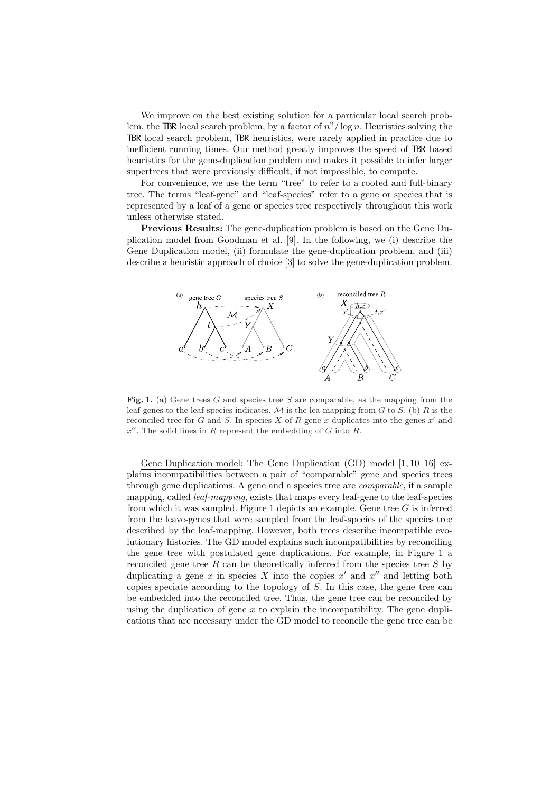We improve on the best existing solution for a particular local search problem, the TBR local search problem, by a factor of  $n^2/\log n$ . Heuristics solving the TBR local search problem, TBR heuristics, were rarely applied in practice due to inefficient running times. Our method greatly improves the speed of TBR based heuristics for the gene-duplication problem and makes it possible to infer larger supertrees that were previously difficult, if not impossible, to compute.

For convenience, we use the term "tree" to refer to a rooted and full-binary tree. The terms "leaf-gene" and "leaf-species" refer to a gene or species that is represented by a leaf of a gene or species tree respectively throughout this work unless otherwise stated.

Previous Results: The gene-duplication problem is based on the Gene Duplication model from Goodman et al. [9]. In the following, we (i) describe the Gene Duplication model, (ii) formulate the gene-duplication problem, and (iii) describe a heuristic approach of choice [3] to solve the gene-duplication problem.



Fig. 1. (a) Gene trees G and species tree S are comparable, as the mapping from the leaf-genes to the leaf-species indicates.  $M$  is the lca-mapping from  $G$  to  $S$ . (b)  $R$  is the reconciled tree for G and S. In species X of R gene x duplicates into the genes  $x'$  and  $x''$ . The solid lines in R represent the embedding of G into R.

Gene Duplication model: The Gene Duplication (GD) model [1, 10–16] explains incompatibilities between a pair of "comparable" gene and species trees through gene duplications. A gene and a species tree are comparable, if a sample mapping, called *leaf-mapping*, exists that maps every leaf-gene to the leaf-species from which it was sampled. Figure 1 depicts an example. Gene tree  $G$  is inferred from the leave-genes that were sampled from the leaf-species of the species tree described by the leaf-mapping. However, both trees describe incompatible evolutionary histories. The GD model explains such incompatibilities by reconciling the gene tree with postulated gene duplications. For example, in Figure 1 a reconciled gene tree  $R$  can be theoretically inferred from the species tree  $S$  by duplicating a gene x in species X into the copies  $x'$  and  $x''$  and letting both copies speciate according to the topology of S. In this case, the gene tree can be embedded into the reconciled tree. Thus, the gene tree can be reconciled by using the duplication of gene  $x$  to explain the incompatibility. The gene duplications that are necessary under the GD model to reconcile the gene tree can be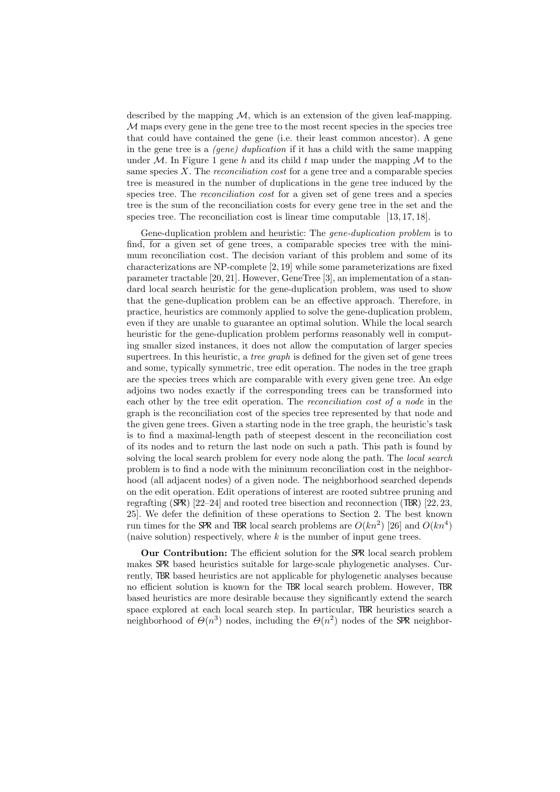described by the mapping  $\mathcal{M}$ , which is an extension of the given leaf-mapping.  $\mathcal M$  maps every gene in the gene tree to the most recent species in the species tree that could have contained the gene (i.e. their least common ancestor). A gene in the gene tree is a (gene) duplication if it has a child with the same mapping under M. In Figure 1 gene h and its child t map under the mapping M to the same species  $X$ . The *reconciliation cost* for a gene tree and a comparable species tree is measured in the number of duplications in the gene tree induced by the species tree. The *reconciliation cost* for a given set of gene trees and a species tree is the sum of the reconciliation costs for every gene tree in the set and the species tree. The reconciliation cost is linear time computable [13, 17, 18].

Gene-duplication problem and heuristic: The gene-duplication problem is to find, for a given set of gene trees, a comparable species tree with the minimum reconciliation cost. The decision variant of this problem and some of its characterizations are NP-complete [2, 19] while some parameterizations are fixed parameter tractable [20, 21]. However, GeneTree [3], an implementation of a standard local search heuristic for the gene-duplication problem, was used to show that the gene-duplication problem can be an effective approach. Therefore, in practice, heuristics are commonly applied to solve the gene-duplication problem, even if they are unable to guarantee an optimal solution. While the local search heuristic for the gene-duplication problem performs reasonably well in computing smaller sized instances, it does not allow the computation of larger species supertrees. In this heuristic, a *tree graph* is defined for the given set of gene trees and some, typically symmetric, tree edit operation. The nodes in the tree graph are the species trees which are comparable with every given gene tree. An edge adjoins two nodes exactly if the corresponding trees can be transformed into each other by the tree edit operation. The *reconciliation cost of a node* in the graph is the reconciliation cost of the species tree represented by that node and the given gene trees. Given a starting node in the tree graph, the heuristic's task is to find a maximal-length path of steepest descent in the reconciliation cost of its nodes and to return the last node on such a path. This path is found by solving the local search problem for every node along the path. The *local search* problem is to find a node with the minimum reconciliation cost in the neighborhood (all adjacent nodes) of a given node. The neighborhood searched depends on the edit operation. Edit operations of interest are rooted subtree pruning and regrafting (SPR) [22–24] and rooted tree bisection and reconnection (TBR) [22, 23, 25]. We defer the definition of these operations to Section 2. The best known run times for the SPR and TBR local search problems are  $O(kn^2)$  [26] and  $O(kn^4)$ (naive solution) respectively, where  $k$  is the number of input gene trees.

Our Contribution: The efficient solution for the SPR local search problem makes SPR based heuristics suitable for large-scale phylogenetic analyses. Currently, TBR based heuristics are not applicable for phylogenetic analyses because no efficient solution is known for the TBR local search problem. However, TBR based heuristics are more desirable because they significantly extend the search space explored at each local search step. In particular, TBR heuristics search a neighborhood of  $\Theta(n^3)$  nodes, including the  $\Theta(n^2)$  nodes of the SPR neighbor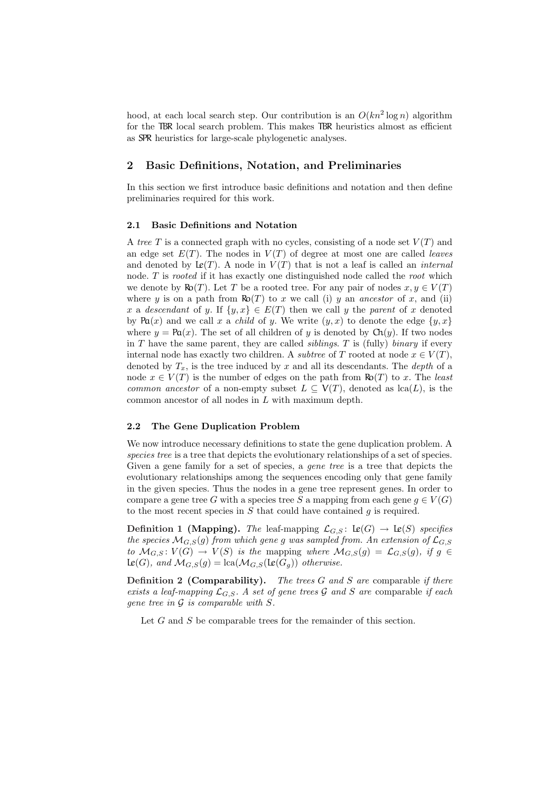hood, at each local search step. Our contribution is an  $O(kn^2 \log n)$  algorithm for the TBR local search problem. This makes TBR heuristics almost as efficient as SPR heuristics for large-scale phylogenetic analyses.

# 2 Basic Definitions, Notation, and Preliminaries

In this section we first introduce basic definitions and notation and then define preliminaries required for this work.

#### 2.1 Basic Definitions and Notation

A tree T is a connected graph with no cycles, consisting of a node set  $V(T)$  and an edge set  $E(T)$ . The nodes in  $V(T)$  of degree at most one are called *leaves* and denoted by  $L\negthinspace e(T)$ . A node in  $V(T)$  that is not a leaf is called an *internal* node. T is rooted if it has exactly one distinguished node called the root which we denote by  $\mathbf{Ro}(T)$ . Let T be a rooted tree. For any pair of nodes  $x, y \in V(T)$ where y is on a path from  $\mathbb{R}(T)$  to x we call (i) y an ancestor of x, and (ii) x a descendant of y. If  $\{y, x\} \in E(T)$  then we call y the parent of x denoted by Pa(x) and we call x a *child* of y. We write  $(y, x)$  to denote the edge  $\{y, x\}$ where  $y = Pa(x)$ . The set of all children of y is denoted by  $Ch(y)$ . If two nodes in  $T$  have the same parent, they are called *siblings*.  $T$  is (fully) *binary* if every internal node has exactly two children. A *subtree* of T rooted at node  $x \in V(T)$ , denoted by  $T<sub>x</sub>$ , is the tree induced by x and all its descendants. The *depth* of a node  $x \in V(T)$  is the number of edges on the path from  $\mathcal{R}(T)$  to x. The least common ancestor of a non-empty subset  $L \subseteq V(T)$ , denoted as  $lca(L)$ , is the common ancestor of all nodes in L with maximum depth.

#### 2.2 The Gene Duplication Problem

We now introduce necessary definitions to state the gene duplication problem. A species tree is a tree that depicts the evolutionary relationships of a set of species. Given a gene family for a set of species, a *gene tree* is a tree that depicts the evolutionary relationships among the sequences encoding only that gene family in the given species. Thus the nodes in a gene tree represent genes. In order to compare a gene tree G with a species tree S a mapping from each gene  $g \in V(G)$ to the most recent species in  $S$  that could have contained  $g$  is required.

**Definition 1 (Mapping).** The leaf-mapping  $\mathcal{L}_{G,S}$ :  $\text{Le}(G) \rightarrow \text{Le}(S)$  specifies the species  $\mathcal{M}_{G,S}(g)$  from which gene g was sampled from. An extension of  $\mathcal{L}_{G,S}$ to  $\mathcal{M}_{G,S} \colon V(G) \to V(S)$  is the mapping where  $\mathcal{M}_{G,S}(g) = \mathcal{L}_{G,S}(g)$ , if  $g \in$  $\text{Le}(G)$ , and  $\mathcal{M}_{G,S}(g) = \text{lea}(\mathcal{M}_{G,S}(\text{Le}(G_q)))$  otherwise.

**Definition 2 (Comparability).** The trees  $G$  and  $S$  are comparable if there exists a leaf-mapping  $\mathcal{L}_{G,S}$ . A set of gene trees G and S are comparable if each gene tree in  $\mathcal G$  is comparable with  $S$ .

Let  $G$  and  $S$  be comparable trees for the remainder of this section.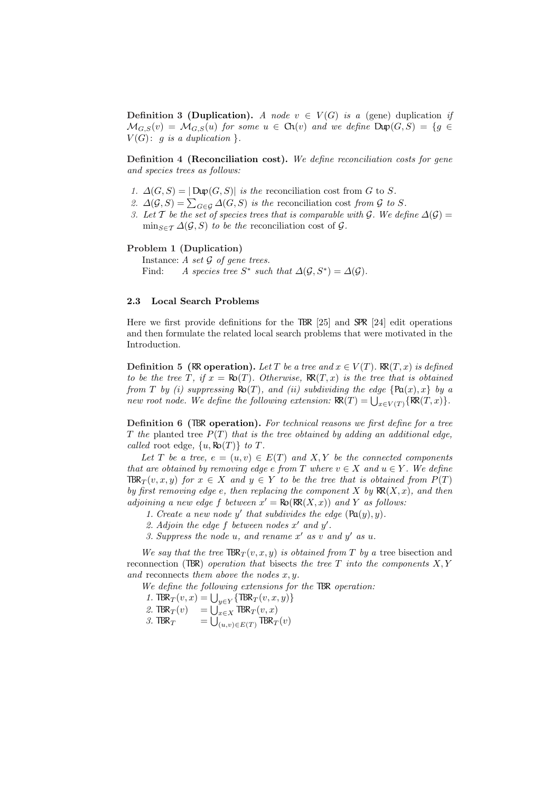**Definition 3 (Duplication).** A node  $v \in V(G)$  is a (gene) duplication if  $\mathcal{M}_{G,S}(v) = \mathcal{M}_{G,S}(u)$  for some  $u \in Ch(v)$  and we define  $Dup(G, S) = \{g \in$  $V(G)$ : g is a duplication }.

Definition 4 (Reconciliation cost). We define reconciliation costs for gene and species trees as follows:

- 1.  $\Delta(G, S) = |\text{Dup}(G, S)|$  is the reconciliation cost from G to S.
- 2.  $\Delta(G, S) = \Delta(G, S)$  is the reconciliation cost from G to S.<br>2.  $\Delta(G, S) = \sum_{G \in \mathcal{G}} \Delta(G, S)$  is the reconciliation cost from G to S.
- 3. Let T be the set of species trees that is comparable with G. We define  $\Delta(\mathcal{G}) =$  $\min_{S \in \mathcal{T}} \Delta(\mathcal{G}, S)$  to be the reconciliation cost of  $\mathcal{G}$ .

#### Problem 1 (Duplication)

Instance: A set  $\mathcal G$  of gene trees.

Find: A species tree  $S^*$  such that  $\Delta(\mathcal{G}, S^*) = \Delta(\mathcal{G})$ .

#### 2.3 Local Search Problems

Here we first provide definitions for the TBR [25] and SPR [24] edit operations and then formulate the related local search problems that were motivated in the Introduction.

**Definition 5 (RR operation).** Let T be a tree and  $x \in V(T)$ . RR(T, x) is defined to be the tree T, if  $x = \text{Ro}(T)$ . Otherwise,  $\text{RR}(T, x)$  is the tree that is obtained from T by (i) suppressing  $\mathbf{R}o(T)$ , and (ii) subdividing the edge  $\{\mathbf{Pa}(x), x\}$  by a from 1 by (*t*) suppressing **KO**(1), and (*u*) subdividing the eage {**rd**(*x*), *x*} by denote node. We define the following extension:  $\mathbb{R}(T) = \bigcup_{x \in V(T)} {\{RR(T, x)\}}$ .

Definition 6 (TBR operation). For technical reasons we first define for a tree T the planted tree  $P(T)$  that is the tree obtained by adding an additional edge, called root edge,  $\{u, \text{Ro}(T)\}\$  to T.

Let T be a tree,  $e = (u, v) \in E(T)$  and X, Y be the connected components that are obtained by removing edge e from T where  $v \in X$  and  $u \in Y$ . We define  $TBR_T(v, x, y)$  for  $x \in X$  and  $y \in Y$  to be the tree that is obtained from  $P(T)$ by first removing edge e, then replacing the component X by  $\mathbb{R}(X,x)$ , and then adjoining a new edge f between  $x' = \text{Ro}(\text{RR}(X,x))$  and Y as follows:

- 1. Create a new node y' that subdivides the edge  $(\text{Pa}(y), y)$ .
- 2. Adjoin the edge  $f$  between nodes  $x'$  and  $y'$ .
- 3. Suppress the node  $u$ , and rename  $x'$  as  $v$  and  $y'$  as  $u$ .

We say that the tree  $TBR_T(v, x, y)$  is obtained from T by a tree bisection and reconnection (TBR) operation that bisects the tree  $T$  into the components  $X, Y$ and reconnects them above the nodes  $x, y$ .

We define the following extensions for the TBR operation:

*ve aefine the following extensions fo*  $1$ . TBR<sub>T</sub> $(v, x) = \bigcup_{y \in Y} {\text{TRR}_T(v, x, y)}$ 

2. TBR<sub>T</sub>(*v*) =  $\bigcup_{x \in X} T(x, x)$ <br>
2. TBR<sub>T</sub>(*v*) =  $\bigcup_{x \in X} T(x, x)$ 

 $\beta.$  TBR  $_T$  $(u,v) \in E(T)$  TBR $_T(v)$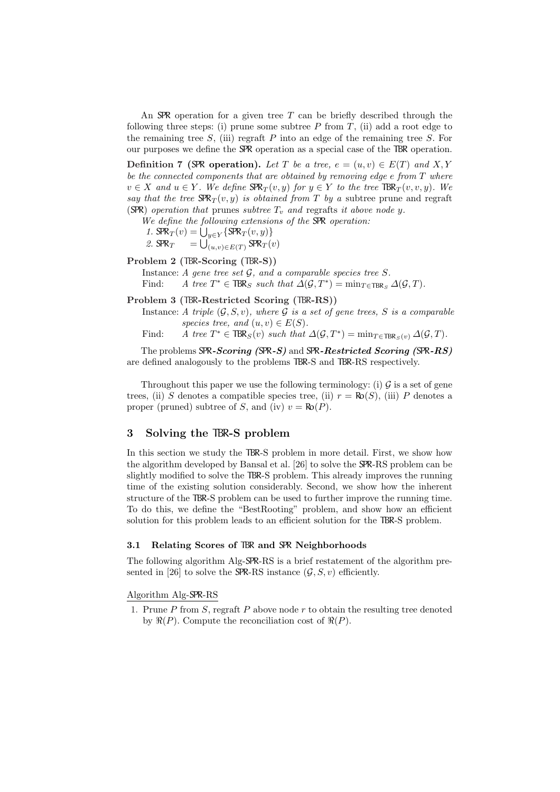An SPR operation for a given tree  $T$  can be briefly described through the following three steps: (i) prune some subtree  $P$  from  $T$ , (ii) add a root edge to the remaining tree  $S$ , (iii) regraft  $P$  into an edge of the remaining tree  $S$ . For our purposes we define the SPR operation as a special case of the TBR operation.

Definition 7 (SPR operation). Let T be a tree,  $e = (u, v) \in E(T)$  and X, Y be the connected components that are obtained by removing edge e from T where  $v \in X$  and  $u \in Y$ . We define  $\text{SPR}_T(v, y)$  for  $y \in Y$  to the tree  $\text{TBR}_T(v, v, y)$ . We say that the tree  $\text{SPR}_T(v, y)$  is obtained from T by a subtree prune and regraft (SPR) operation that prunes subtree  $T_v$  and regrafts it above node y.

We define the following extensions of the SPR operation:

*ve aefine the following extensio*<br>1.  $\text{SPR}_T(v) = \bigcup_{y \in Y} \{\text{SPR}_T(v, y)\}$ 

2. 
$$
SPR_T = \bigcup_{(u,v)\in E(T)} SPR_T(v)
$$

Problem 2 (TBR-Scoring (TBR-S))

Instance:  $A$  gene tree set  $G$ , and a comparable species tree  $S$ . Find: A tree  $T^* \in \text{TBR}_S$  such that  $\Delta(\mathcal{G}, T^*) = \min_{T \in \text{TBR}_S} \Delta(\mathcal{G}, T)$ .

Problem 3 (TBR-Restricted Scoring (TBR-RS))

Instance: A triple  $(\mathcal{G}, S, v)$ , where  $\mathcal G$  is a set of gene trees, S is a comparable species tree, and  $(u, v) \in E(S)$ .

Find: A tree  $T^* \in \text{TBR}_S(v)$  such that  $\Delta(\mathcal{G}, T^*) = \min_{T \in \text{TBR}_S(v)} \Delta(\mathcal{G}, T)$ .

The problems SPR-Scoring (SPR-S) and SPR-Restricted Scoring (SPR-RS) are defined analogously to the problems TBR-S and TBR-RS respectively.

Throughout this paper we use the following terminology: (i)  $\mathcal G$  is a set of gene trees, (ii) S denotes a compatible species tree, (ii)  $r = \text{Ro}(S)$ , (iii) P denotes a proper (pruned) subtree of S, and (iv)  $v = \text{Ro}(P)$ .

## 3 Solving the TBR-S problem

In this section we study the TBR-S problem in more detail. First, we show how the algorithm developed by Bansal et al. [26] to solve the SPR-RS problem can be slightly modified to solve the TBR-S problem. This already improves the running time of the existing solution considerably. Second, we show how the inherent structure of the TBR-S problem can be used to further improve the running time. To do this, we define the "BestRooting" problem, and show how an efficient solution for this problem leads to an efficient solution for the TBR-S problem.

#### 3.1 Relating Scores of TBR and SPR Neighborhoods

The following algorithm Alg-SPR-RS is a brief restatement of the algorithm presented in [26] to solve the SPR-RS instance  $(\mathcal{G}, S, v)$  efficiently.

Algorithm Alg-SPR-RS

1. Prune  $P$  from  $S$ , regraft  $P$  above node  $r$  to obtain the resulting tree denoted by  $\Re(P)$ . Compute the reconciliation cost of  $\Re(P)$ .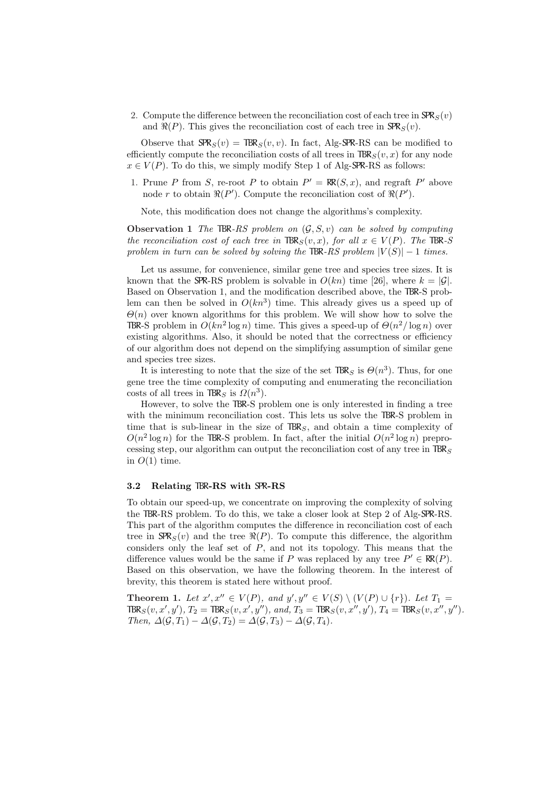2. Compute the difference between the reconciliation cost of each tree in  $\text{SPR}_S(v)$ and  $\Re(P)$ . This gives the reconciliation cost of each tree in  $\text{SPR}_S(v)$ .

Observe that  $SPR_S(v) = \text{TBR}_S(v, v)$ . In fact, Alg-SPR-RS can be modified to efficiently compute the reconciliation costs of all trees in  $TBR_S(v, x)$  for any node  $x \in V(P)$ . To do this, we simply modify Step 1 of Alg-SPR-RS as follows:

1. Prune P from S, re-root P to obtain  $P' = \mathbb{RR}(S, x)$ , and regraft P' above node r to obtain  $\Re(P')$ . Compute the reconciliation cost of  $\Re(P')$ .

Note, this modification does not change the algorithms's complexity.

**Observation 1** The TBR-RS problem on  $(\mathcal{G}, S, v)$  can be solved by computing the reconciliation cost of each tree in  $TBR_S(v, x)$ , for all  $x \in V(P)$ . The TBR-S problem in turn can be solved by solving the TBR-RS problem  $|V(S)| - 1$  times.

Let us assume, for convenience, similar gene tree and species tree sizes. It is known that the SPR-RS problem is solvable in  $O(kn)$  time [26], where  $k = |\mathcal{G}|$ . Based on Observation 1, and the modification described above, the TBR-S problem can then be solved in  $O(kn^3)$  time. This already gives us a speed up of  $\Theta(n)$  over known algorithms for this problem. We will show how to solve the **TBR-S** problem in  $O(kn^2 \log n)$  time. This gives a speed-up of  $O(n^2/\log n)$  over existing algorithms. Also, it should be noted that the correctness or efficiency of our algorithm does not depend on the simplifying assumption of similar gene and species tree sizes.

It is interesting to note that the size of the set  $TBR_S$  is  $\Theta(n^3)$ . Thus, for one gene tree the time complexity of computing and enumerating the reconciliation costs of all trees in  $\text{TR}_S$  is  $\Omega(n^3)$ .

However, to solve the TBR-S problem one is only interested in finding a tree with the minimum reconciliation cost. This lets us solve the TBR-S problem in time that is sub-linear in the size of  $TBR<sub>S</sub>$ , and obtain a time complexity of  $O(n^2 \log n)$  for the TBR-S problem. In fact, after the initial  $O(n^2 \log n)$  preprocessing step, our algorithm can output the reconciliation cost of any tree in TBRs in  $O(1)$  time.

#### 3.2 Relating TBR-RS with SPR-RS

To obtain our speed-up, we concentrate on improving the complexity of solving the TBR-RS problem. To do this, we take a closer look at Step 2 of Alg-SPR-RS. This part of the algorithm computes the difference in reconciliation cost of each tree in  $\text{SPR}_S(v)$  and the tree  $\Re(P)$ . To compute this difference, the algorithm considers only the leaf set of  $P$ , and not its topology. This means that the difference values would be the same if P was replaced by any tree  $P' \in \mathbb{R}(P)$ . Based on this observation, we have the following theorem. In the interest of brevity, this theorem is stated here without proof.

**Theorem 1.** Let  $x', x'' \in V(P)$ , and  $y', y'' \in V(S) \setminus (V(P) \cup \{r\})$ . Let  $T_1 =$  $TBR_S(v, x', y'), T_2 = TBR_S(v, x', y''), and, T_3 = TBR_S(v, x'', y'), T_4 = TBR_S(v, x'', y'').$ Then,  $\Delta(\mathcal{G}, T_1) - \Delta(\mathcal{G}, T_2) = \Delta(\mathcal{G}, T_3) - \Delta(\mathcal{G}, T_4)$ .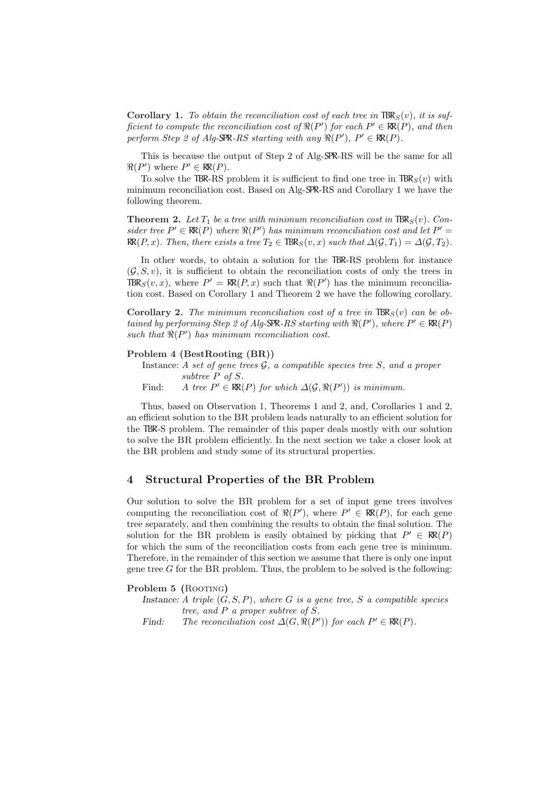**Corollary 1.** To obtain the reconciliation cost of each tree in  $\text{IBR}_{S}(v)$ , it is sufficient to compute the reconciliation cost of  $\Re(P')$  for each  $P' \in \Re(P)$ , and then perform Step 2 of Alg-SPR-RS starting with any  $\Re(P')$ ,  $P' \in \text{RR}(P)$ .

This is because the output of Step 2 of Alg-SPR-RS will be the same for all  $\Re(P')$  where  $P' \in \mathsf{RR}(P)$ .

To solve the TBR-RS problem it is sufficient to find one tree in  $TBR_S(v)$  with minimum reconciliation cost. Based on Alg-SPR-RS and Corollary 1 we have the following theorem.

**Theorem 2.** Let  $T_1$  be a tree with minimum reconciliation cost in  $TBR_S(v)$ . Consider tree  $P' \in \mathbb{R}(P)$  where  $\mathcal{R}(P')$  has minimum reconciliation cost and let  $P' =$  $\mathbb{RR}(P, x)$ . Then, there exists a tree  $T_2 \in \mathbb{RB}_S(v, x)$  such that  $\Delta(\mathcal{G}, T_1) = \Delta(\mathcal{G}, T_2)$ .

In other words, to obtain a solution for the TBR-RS problem for instance  $(\mathcal{G}, S, v)$ , it is sufficient to obtain the reconciliation costs of only the trees in  $TBR_S(v, x)$ , where  $P' = RR(P, x)$  such that  $\Re(P')$  has the minimum reconciliation cost. Based on Corollary 1 and Theorem 2 we have the following corollary.

Corollary 2. The minimum reconciliation cost of a tree in  $TBR_S(v)$  can be obtained by performing Step 2 of Alg-SPR-RS starting with  $\Re(P')$ , where  $P' \in \Re(P)$ such that  $\Re(P')$  has minimum reconciliation cost.

#### Problem 4 (BestRooting (BR))

Instance: A set of gene trees  $G$ , a compatible species tree  $S$ , and a proper subtree P of S.

Find: A tree  $P' \in \mathbb{R}(P)$  for which  $\Delta(\mathcal{G}, \Re(P'))$  is minimum.

Thus, based on Observation 1, Theorems 1 and 2, and, Corollaries 1 and 2, an efficient solution to the BR problem leads naturally to an efficient solution for the TBR-S problem. The remainder of this paper deals mostly with our solution to solve the BR problem efficiently. In the next section we take a closer look at the BR problem and study some of its structural properties.

### 4 Structural Properties of the BR Problem

Our solution to solve the BR problem for a set of input gene trees involves computing the reconciliation cost of  $\Re(P')$ , where  $P' \in \Re(P)$ , for each gene tree separately, and then combining the results to obtain the final solution. The solution for the BR problem is easily obtained by picking that  $P' \in \mathbb{R}(P)$ for which the sum of the reconciliation costs from each gene tree is minimum. Therefore, in the remainder of this section we assume that there is only one input gene tree  $G$  for the BR problem. Thus, the problem to be solved is the following:

Problem 5 (ROOTING)

Instance: A triple  $(G, S, P)$ , where G is a gene tree, S a compatible species tree, and P a proper subtree of S.

Find: The reconciliation cost  $\Delta(G, \Re(P'))$  for each  $P' \in \mathbb{R}(P)$ .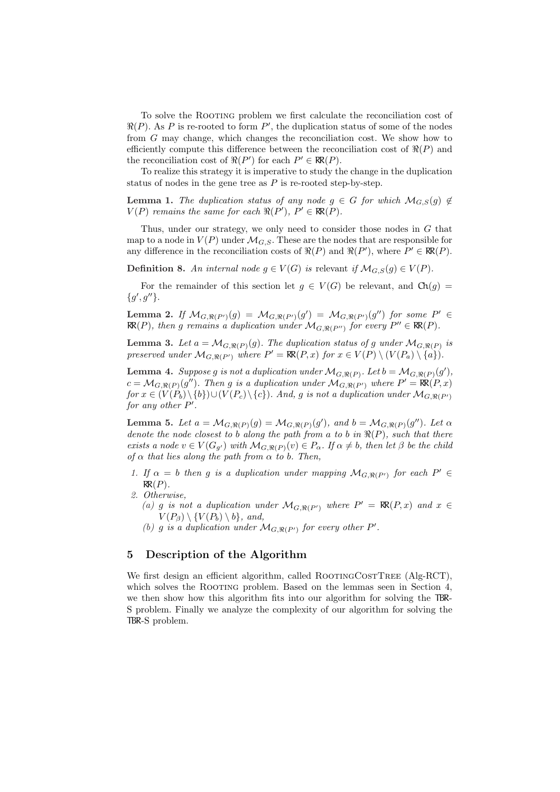To solve the Rooting problem we first calculate the reconciliation cost of  $\Re(P)$ . As P is re-rooted to form P', the duplication status of some of the nodes from G may change, which changes the reconciliation cost. We show how to efficiently compute this difference between the reconciliation cost of  $\Re(P)$  and the reconciliation cost of  $\Re(P')$  for each  $P' \in \mathbb{RR}(P)$ .

To realize this strategy it is imperative to study the change in the duplication status of nodes in the gene tree as  $P$  is re-rooted step-by-step.

**Lemma 1.** The duplication status of any node  $g \in G$  for which  $\mathcal{M}_{G,S}(g) \notin$  $V(P)$  remains the same for each  $\Re(P')$ ,  $P' \in \Re(P)$ .

Thus, under our strategy, we only need to consider those nodes in G that map to a node in  $V(P)$  under  $\mathcal{M}_{G,S}$ . These are the nodes that are responsible for any difference in the reconciliation costs of  $\Re(P)$  and  $\Re(P')$ , where  $P' \in \mathbb{R}(P)$ .

**Definition 8.** An internal node  $g \in V(G)$  is relevant if  $\mathcal{M}_{G,S}(g) \in V(P)$ .

For the remainder of this section let  $g \in V(G)$  be relevant, and  $Ch(g)$  =  ${g', g''}.$ 

Lemma 2. If  $\mathcal{M}_{G, \Re(P')}(g) = \mathcal{M}_{G, \Re(P')}(g') = \mathcal{M}_{G, \Re(P')}(g'')$  for some  $P' \in$  $\mathsf{RR}(P)$ , then g remains a duplication under  $\mathcal{M}_{G, \Re(P'')}$  for every  $P'' \in \mathsf{RR}(P)$ .

**Lemma 3.** Let  $a = \mathcal{M}_{G, \Re(P)}(g)$ . The duplication status of g under  $\mathcal{M}_{G, \Re(P)}$  is preserved under  $\mathcal{M}_{G, \Re(P')}$  where  $P' = \Re(P, x)$  for  $x \in V(P) \setminus (V(P_a) \setminus \{a\})$ .

**Lemma 4.** Suppose g is not a duplication under  $\mathcal{M}_{G, \Re(P)}$ . Let  $b = \mathcal{M}_{G, \Re(P)}(g')$ ,  $c = \mathcal{M}_{G, \Re(P)}(g'')$ . Then g is a duplication under  $\mathcal{M}_{G, \Re(P')}$  where  $P' = \Re(P, x)$ for  $x \in (V(P_b)\setminus\{b\})\cup (V(P_c)\setminus\{c\})$ . And, g is not a duplication under  $\mathcal{M}_{G,\Re(P')}$ for any other  $P'$ .

**Lemma 5.** Let  $a = \mathcal{M}_{G, \Re(P)}(g) = \mathcal{M}_{G, \Re(P)}(g')$ , and  $b = \mathcal{M}_{G, \Re(P)}(g'')$ . Let  $\alpha$ denote the node closest to b along the path from a to b in  $\Re(P)$ , such that there exists a node  $v \in V(G_{g'})$  with  $\mathcal{M}_{G,\Re(P)}(v) \in P_\alpha$ . If  $\alpha \neq b$ , then let  $\beta$  be the child of  $\alpha$  that lies along the path from  $\alpha$  to b. Then,

- 1. If  $\alpha = b$  then g is a duplication under mapping  $\mathcal{M}_{G, \Re(P')}$  for each  $P' \in$  $RR(P)$ .
- 2. Otherwise,
	- (a) g is not a duplication under  $\mathcal{M}_{G, \Re(P')}$  where  $P' = \Re(P, x)$  and  $x \in$  $V(P_{\beta}) \setminus \{V(P_b) \setminus b\}, \text{ and,}$
	- (b) g is a duplication under  $\mathcal{M}_{G, \Re(P')}$  for every other P'.

# 5 Description of the Algorithm

We first design an efficient algorithm, called ROOTINGCOSTTREE (Alg-RCT), which solves the ROOTING problem. Based on the lemmas seen in Section 4, we then show how this algorithm fits into our algorithm for solving the TBR-S problem. Finally we analyze the complexity of our algorithm for solving the TBR-S problem.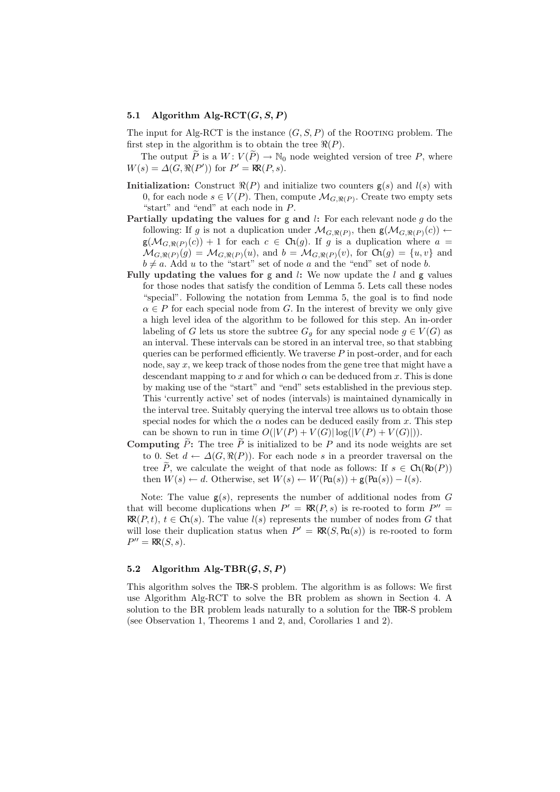#### 5.1 Algorithm Alg-RCT $(G, S, P)$

The input for Alg-RCT is the instance  $(G, S, P)$  of the ROOTING problem. The first step in the algorithm is to obtain the tree  $\Re(P)$ .

The output  $\widetilde{P}$  is a  $W: V(\widetilde{P}) \to \mathbb{N}_0$  node weighted version of tree P, where  $W(s) = \Delta(G, \Re(P'))$  for  $P' = \Re(P, s)$ .

- **Initialization:** Construct  $\Re(P)$  and initialize two counters  $g(s)$  and  $l(s)$  with 0, for each node  $s \in V(P)$ . Then, compute  $\mathcal{M}_{G, \Re(P)}$ . Create two empty sets "start" and "end" at each node in P.
- Partially updating the values for g and  $l$ : For each relevant node g do the following: If g is not a duplication under  $\mathcal{M}_{G, \Re(P)}$ , then  $\mathsf{g}(\mathcal{M}_{G, \Re(P)}(c))$   $\leftarrow$  $g(\mathcal{M}_{G,\Re(P)}(c)) + 1$  for each  $c \in Ch(g)$ . If g is a duplication where  $a =$  $\mathcal{M}_{G,\Re(P)}(g) = \mathcal{M}_{G,\Re(P)}(u)$ , and  $b = \mathcal{M}_{G,\Re(P)}(v)$ , for  $\text{Ch}(g) = \{u, v\}$  and  $b \neq a$ . Add u to the "start" set of node a and the "end" set of node b.
- Fully updating the values for g and  $l$ : We now update the  $l$  and g values for those nodes that satisfy the condition of Lemma 5. Lets call these nodes "special". Following the notation from Lemma 5, the goal is to find node  $\alpha \in P$  for each special node from G. In the interest of brevity we only give a high level idea of the algorithm to be followed for this step. An in-order labeling of G lets us store the subtree  $G_q$  for any special node  $g \in V(G)$  as an interval. These intervals can be stored in an interval tree, so that stabbing queries can be performed efficiently. We traverse  $P$  in post-order, and for each node, say  $x$ , we keep track of those nodes from the gene tree that might have a descendant mapping to x and for which  $\alpha$  can be deduced from x. This is done by making use of the "start" and "end" sets established in the previous step. This 'currently active' set of nodes (intervals) is maintained dynamically in the interval tree. Suitably querying the interval tree allows us to obtain those special nodes for which the  $\alpha$  nodes can be deduced easily from x. This step can be shown to run in time  $O(|V(P) + V(G)| \log(|V(P) + V(G)|)).$
- Computing  $\tilde{P}$ : The tree  $\tilde{P}$  is initialized to be P and its node weights are set to 0. Set  $d \leftarrow \Delta(G, \Re(P))$ . For each node s in a preorder traversal on the tree  $\tilde{P}$ , we calculate the weight of that node as follows: If  $s \in Ch(\mathcal{R}(P))$ then  $W(s) \leftarrow d$ . Otherwise, set  $W(s) \leftarrow W(\text{Pa}(s)) + g(\text{Pa}(s)) - l(s)$ .

Note: The value  $g(s)$ , represents the number of additional nodes from G that will become duplications when  $P' = \mathbb{R}(P, s)$  is re-rooted to form  $P'' =$  $\mathbb{R}(P, t), t \in \mathbb{C}$  h(s). The value  $l(s)$  represents the number of nodes from G that will lose their duplication status when  $P' = \mathbb{RR}(S, \mathbb{Pa}(s))$  is re-rooted to form  $P'' = \mathbb{RR}(S, s).$ 

#### 5.2 Algorithm Alg-TBR $(G, S, P)$

This algorithm solves the TBR-S problem. The algorithm is as follows: We first use Algorithm Alg-RCT to solve the BR problem as shown in Section 4. A solution to the BR problem leads naturally to a solution for the TBR-S problem (see Observation 1, Theorems 1 and 2, and, Corollaries 1 and 2).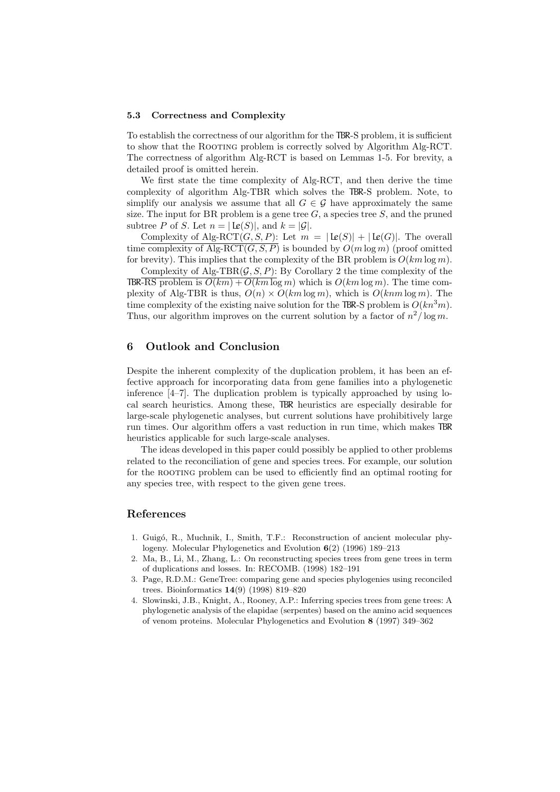#### 5.3 Correctness and Complexity

To establish the correctness of our algorithm for the TBR-S problem, it is sufficient to show that the Rooting problem is correctly solved by Algorithm Alg-RCT. The correctness of algorithm Alg-RCT is based on Lemmas 1-5. For brevity, a detailed proof is omitted herein.

We first state the time complexity of Alg-RCT, and then derive the time complexity of algorithm Alg-TBR which solves the TBR-S problem. Note, to simplify our analysis we assume that all  $G \in \mathcal{G}$  have approximately the same size. The input for BR problem is a gene tree  $G$ , a species tree  $S$ , and the pruned subtree P of S. Let  $n = | \mathbf{L}(\mathbf{S}) |$ , and  $k = | \mathcal{G} |$ .

Complexity of Alg-RCT(G, S, P): Let  $m = | \mathbf{L}(\mathbf{S}) | + | \mathbf{L}(\mathbf{G}) |$ . The overall time complexity of Alg-RCT(G, S, P) is bounded by  $O(m \log m)$  (proof omitted for brevity). This implies that the complexity of the BR problem is  $O(km \log m)$ .

Complexity of Alg-TBR $(G, S, P)$ : By Corollary 2 the time complexity of the **TBR-RS** problem is  $O(km) + O(km \log m)$  which is  $O(km \log m)$ . The time complexity of Alg-TBR is thus,  $O(n) \times O(km \log m)$ , which is  $O(knm \log m)$ . The time complexity of the existing naive solution for the TBR-S problem is  $O(kn^3m)$ . Thus, our algorithm improves on the current solution by a factor of  $n^2/\log m$ .

# 6 Outlook and Conclusion

Despite the inherent complexity of the duplication problem, it has been an effective approach for incorporating data from gene families into a phylogenetic inference [4–7]. The duplication problem is typically approached by using local search heuristics. Among these, TBR heuristics are especially desirable for large-scale phylogenetic analyses, but current solutions have prohibitively large run times. Our algorithm offers a vast reduction in run time, which makes TBR heuristics applicable for such large-scale analyses.

The ideas developed in this paper could possibly be applied to other problems related to the reconciliation of gene and species trees. For example, our solution for the rooting problem can be used to efficiently find an optimal rooting for any species tree, with respect to the given gene trees.

# References

- 1. Guigó, R., Muchnik, I., Smith, T.F.: Reconstruction of ancient molecular phylogeny. Molecular Phylogenetics and Evolution 6(2) (1996) 189–213
- 2. Ma, B., Li, M., Zhang, L.: On reconstructing species trees from gene trees in term of duplications and losses. In: RECOMB. (1998) 182–191
- 3. Page, R.D.M.: GeneTree: comparing gene and species phylogenies using reconciled trees. Bioinformatics 14(9) (1998) 819–820
- 4. Slowinski, J.B., Knight, A., Rooney, A.P.: Inferring species trees from gene trees: A phylogenetic analysis of the elapidae (serpentes) based on the amino acid sequences of venom proteins. Molecular Phylogenetics and Evolution 8 (1997) 349–362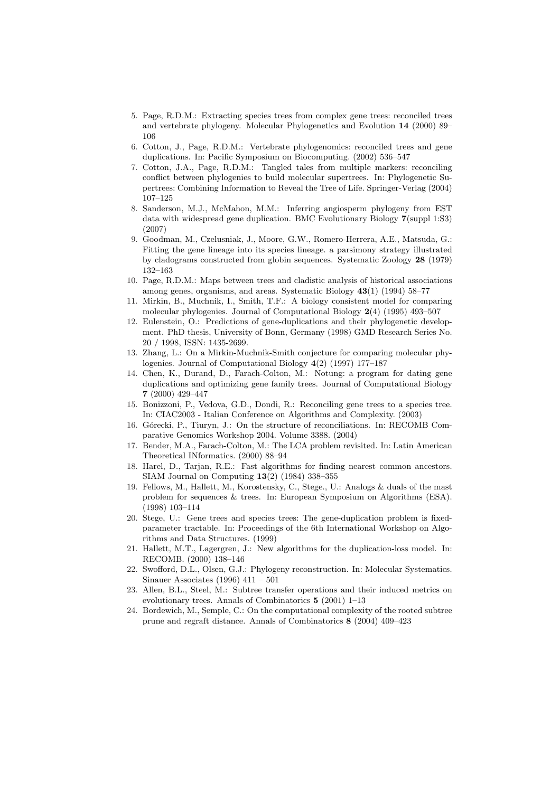- 5. Page, R.D.M.: Extracting species trees from complex gene trees: reconciled trees and vertebrate phylogeny. Molecular Phylogenetics and Evolution 14 (2000) 89– 106
- 6. Cotton, J., Page, R.D.M.: Vertebrate phylogenomics: reconciled trees and gene duplications. In: Pacific Symposium on Biocomputing. (2002) 536–547
- 7. Cotton, J.A., Page, R.D.M.: Tangled tales from multiple markers: reconciling conflict between phylogenies to build molecular supertrees. In: Phylogenetic Supertrees: Combining Information to Reveal the Tree of Life. Springer-Verlag (2004) 107–125
- 8. Sanderson, M.J., McMahon, M.M.: Inferring angiosperm phylogeny from EST data with widespread gene duplication. BMC Evolutionary Biology 7(suppl 1:S3) (2007)
- 9. Goodman, M., Czelusniak, J., Moore, G.W., Romero-Herrera, A.E., Matsuda, G.: Fitting the gene lineage into its species lineage. a parsimony strategy illustrated by cladograms constructed from globin sequences. Systematic Zoology 28 (1979) 132–163
- 10. Page, R.D.M.: Maps between trees and cladistic analysis of historical associations among genes, organisms, and areas. Systematic Biology 43(1) (1994) 58–77
- 11. Mirkin, B., Muchnik, I., Smith, T.F.: A biology consistent model for comparing molecular phylogenies. Journal of Computational Biology  $2(4)$  (1995) 493–507
- 12. Eulenstein, O.: Predictions of gene-duplications and their phylogenetic development. PhD thesis, University of Bonn, Germany (1998) GMD Research Series No. 20 / 1998, ISSN: 1435-2699.
- 13. Zhang, L.: On a Mirkin-Muchnik-Smith conjecture for comparing molecular phylogenies. Journal of Computational Biology 4(2) (1997) 177–187
- 14. Chen, K., Durand, D., Farach-Colton, M.: Notung: a program for dating gene duplications and optimizing gene family trees. Journal of Computational Biology 7 (2000) 429–447
- 15. Bonizzoni, P., Vedova, G.D., Dondi, R.: Reconciling gene trees to a species tree. In: CIAC2003 - Italian Conference on Algorithms and Complexity. (2003)
- 16. G´orecki, P., Tiuryn, J.: On the structure of reconciliations. In: RECOMB Comparative Genomics Workshop 2004. Volume 3388. (2004)
- 17. Bender, M.A., Farach-Colton, M.: The LCA problem revisited. In: Latin American Theoretical INformatics. (2000) 88–94
- 18. Harel, D., Tarjan, R.E.: Fast algorithms for finding nearest common ancestors. SIAM Journal on Computing 13(2) (1984) 338–355
- 19. Fellows, M., Hallett, M., Korostensky, C., Stege., U.: Analogs & duals of the mast problem for sequences & trees. In: European Symposium on Algorithms (ESA). (1998) 103–114
- 20. Stege, U.: Gene trees and species trees: The gene-duplication problem is fixedparameter tractable. In: Proceedings of the 6th International Workshop on Algorithms and Data Structures. (1999)
- 21. Hallett, M.T., Lagergren, J.: New algorithms for the duplication-loss model. In: RECOMB. (2000) 138–146
- 22. Swofford, D.L., Olsen, G.J.: Phylogeny reconstruction. In: Molecular Systematics. Sinauer Associates (1996) 411 – 501
- 23. Allen, B.L., Steel, M.: Subtree transfer operations and their induced metrics on evolutionary trees. Annals of Combinatorics 5 (2001) 1–13
- 24. Bordewich, M., Semple, C.: On the computational complexity of the rooted subtree prune and regraft distance. Annals of Combinatorics 8 (2004) 409–423